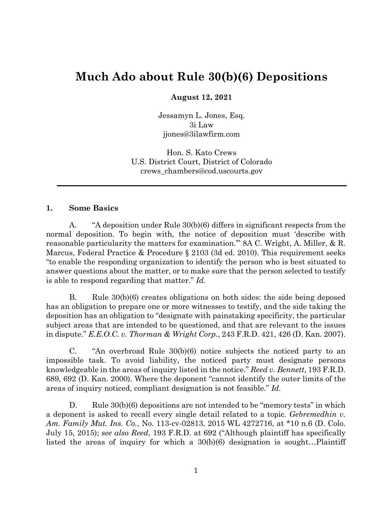# **Much Ado about Rule 30(b)(6) Depositions**

**August 12, 2021**

Jessamyn L. Jones, Esq. 3i Law jjones@3ilawfirm.com

Hon. S. Kato Crews U.S. District Court, District of Colorado crews\_chambers@cod.uscourts.gov

#### **1. Some Basics**

A. "A deposition under Rule 30(b)(6) differs in significant respects from the normal deposition. To begin with, the notice of deposition must 'describe with reasonable particularity the matters for examination.'" 8A C. Wright, A. Miller, & R. Marcus, Federal Practice & Procedure § 2103 (3d ed. 2010). This requirement seeks "to enable the responding organization to identify the person who is best situated to answer questions about the matter, or to make sure that the person selected to testify is able to respond regarding that matter." *Id.*

B. Rule 30(b)(6) creates obligations on both sides: the side being deposed has an obligation to prepare one or more witnesses to testify, and the side taking the deposition has an obligation to "designate with painstaking specificity, the particular subject areas that are intended to be questioned, and that are relevant to the issues in dispute." *E.E.O.C. v. Thorman & Wright Corp.*, 243 F.R.D. 421, 426 (D. Kan. 2007).

C. "An overbroad Rule 30(b)(6) notice subjects the noticed party to an impossible task. To avoid liability, the noticed party must designate persons knowledgeable in the areas of inquiry listed in the notice." *Reed v. Bennett*, 193 F.R.D. 689, 692 (D. Kan. 2000). Where the deponent "cannot identify the outer limits of the areas of inquiry noticed, compliant designation is not feasible." *Id.*

D. Rule 30(b)(6) depositions are not intended to be "memory tests" in which a deponent is asked to recall every single detail related to a topic. *Gebremedhin v. Am. Family Mut. Ins. Co.*, No. 113-cv-02813, 2015 WL 4272716, at \*10 n.6 (D. Colo. July 15, 2015); *see also Reed*, 193 F.R.D. at 692 ("Although plaintiff has specifically listed the areas of inquiry for which a 30(b)(6) designation is sought…Plaintiff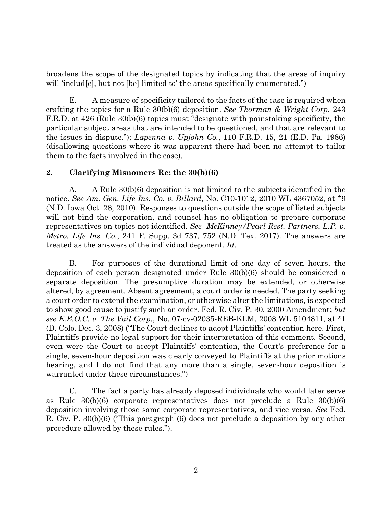broadens the scope of the designated topics by indicating that the areas of inquiry will 'includ[e], but not [be] limited to' the areas specifically enumerated.")

E. A measure of specificity tailored to the facts of the case is required when crafting the topics for a Rule 30(b)(6) deposition. *See Thorman & Wright Corp*, 243 F.R.D. at 426 (Rule 30(b)(6) topics must "designate with painstaking specificity, the particular subject areas that are intended to be questioned, and that are relevant to the issues in dispute."); *Lapenna v. Upjohn Co.*, 110 F.R.D. 15, 21 (E.D. Pa. 1986) (disallowing questions where it was apparent there had been no attempt to tailor them to the facts involved in the case).

## **2. Clarifying Misnomers Re: the 30(b)(6)**

A. A Rule 30(b)6) deposition is not limited to the subjects identified in the notice. *See Am. Gen. Life Ins. Co. v. Billard*, No. C10-1012, 2010 WL 4367052, at \*9 (N.D. Iowa Oct. 28, 2010). Responses to questions outside the scope of listed subjects will not bind the corporation, and counsel has no obligation to prepare corporate representatives on topics not identified. *See McKinney/Pearl Rest. Partners, L.P. v. Metro. Life Ins. Co.*, 241 F. Supp. 3d 737, 752 (N.D. Tex. 2017). The answers are treated as the answers of the individual deponent. *Id.*

B. For purposes of the durational limit of one day of seven hours, the deposition of each person designated under Rule 30(b)(6) should be considered a separate deposition. The presumptive duration may be extended, or otherwise altered, by agreement. Absent agreement, a court order is needed. The party seeking a court order to extend the examination, or otherwise alter the limitations, is expected to show good cause to justify such an order. Fed. R. Civ. P. 30, 2000 Amendment; *but see E.E.O.C. v. The Vail Corp.*, No. 07-cv-02035-REB-KLM, 2008 WL 5104811, at \*1 (D. Colo. Dec. 3, 2008) ("The Court declines to adopt Plaintiffs' contention here. First, Plaintiffs provide no legal support for their interpretation of this comment. Second, even were the Court to accept Plaintiffs' contention, the Court's preference for a single, seven-hour deposition was clearly conveyed to Plaintiffs at the prior motions hearing, and I do not find that any more than a single, seven-hour deposition is warranted under these circumstances.")

C. The fact a party has already deposed individuals who would later serve as Rule 30(b)(6) corporate representatives does not preclude a Rule 30(b)(6) deposition involving those same corporate representatives, and vice versa. *See* Fed. R. Civ. P. 30(b)(6) ("This paragraph (6) does not preclude a deposition by any other procedure allowed by these rules.").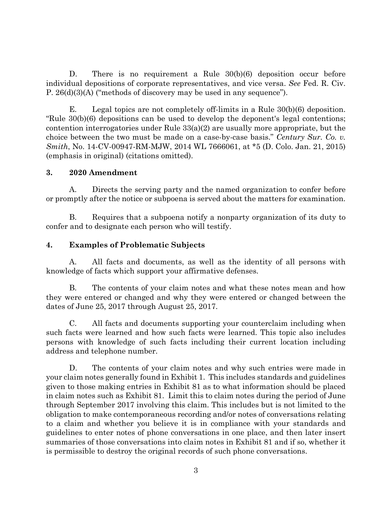D. There is no requirement a Rule 30(b)(6) deposition occur before individual depositions of corporate representatives, and vice versa. *See* Fed. R. Civ. P. 26(d)(3)(A) ("methods of discovery may be used in any sequence").

E. Legal topics are not completely off-limits in a Rule 30(b)(6) deposition. "Rule 30(b)(6) depositions can be used to develop the deponent's legal contentions; contention interrogatories under Rule  $33(a)(2)$  are usually more appropriate, but the choice between the two must be made on a case-by-case basis." *Century Sur. Co. v. Smith*, No. 14-CV-00947-RM-MJW, 2014 WL 7666061, at \*5 (D. Colo. Jan. 21, 2015) (emphasis in original) (citations omitted).

#### **3. 2020 Amendment**

A. Directs the serving party and the named organization to confer before or promptly after the notice or subpoena is served about the matters for examination.

B. Requires that a subpoena notify a nonparty organization of its duty to confer and to designate each person who will testify.

## **4. Examples of Problematic Subjects**

A. All facts and documents, as well as the identity of all persons with knowledge of facts which support your affirmative defenses.

B. The contents of your claim notes and what these notes mean and how they were entered or changed and why they were entered or changed between the dates of June 25, 2017 through August 25, 2017.

C. All facts and documents supporting your counterclaim including when such facts were learned and how such facts were learned. This topic also includes persons with knowledge of such facts including their current location including address and telephone number.

D. The contents of your claim notes and why such entries were made in your claim notes generally found in Exhibit 1. This includes standards and guidelines given to those making entries in Exhibit 81 as to what information should be placed in claim notes such as Exhibit 81. Limit this to claim notes during the period of June through September 2017 involving this claim. This includes but is not limited to the obligation to make contemporaneous recording and/or notes of conversations relating to a claim and whether you believe it is in compliance with your standards and guidelines to enter notes of phone conversations in one place, and then later insert summaries of those conversations into claim notes in Exhibit 81 and if so, whether it is permissible to destroy the original records of such phone conversations.